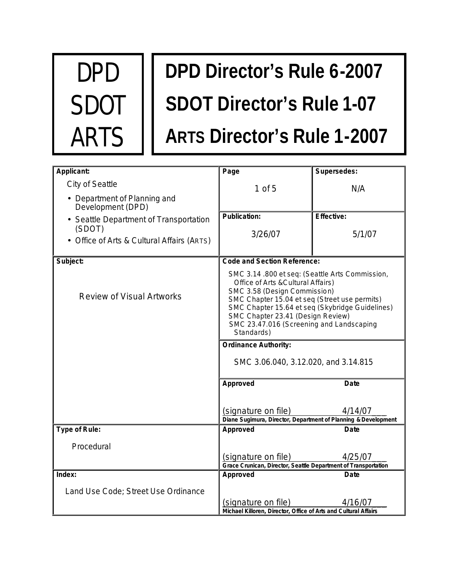

# **DPD Director's Rule 6-2007 SDOT Director's Rule 1-07 ARTS Director's Rule 1-2007**

| Applicant:                                           | Page                                                                                                                                                                                                                                                                                                                    | Supersedes:                                                     |  |
|------------------------------------------------------|-------------------------------------------------------------------------------------------------------------------------------------------------------------------------------------------------------------------------------------------------------------------------------------------------------------------------|-----------------------------------------------------------------|--|
| City of Seattle                                      | $1$ of $5$                                                                                                                                                                                                                                                                                                              | N/A                                                             |  |
| • Department of Planning and<br>Development (DPD)    |                                                                                                                                                                                                                                                                                                                         |                                                                 |  |
| • Seattle Department of Transportation               | <b>Publication:</b>                                                                                                                                                                                                                                                                                                     | <b>Effective:</b>                                               |  |
| (SDOT)<br>• Office of Arts & Cultural Affairs (ARTS) | 3/26/07                                                                                                                                                                                                                                                                                                                 | 5/1/07                                                          |  |
| Subject:                                             | <b>Code and Section Reference:</b>                                                                                                                                                                                                                                                                                      |                                                                 |  |
| <b>Review of Visual Artworks</b>                     | SMC 3.14.800 et seq: (Seattle Arts Commission,<br>Office of Arts & Cultural Affairs)<br>SMC 3.58 (Design Commission)<br>SMC Chapter 15.04 et seq (Street use permits)<br>SMC Chapter 15.64 et seq (Skybridge Guidelines)<br>SMC Chapter 23.41 (Design Review)<br>SMC 23.47.016 (Screening and Landscaping<br>Standards) |                                                                 |  |
|                                                      | <b>Ordinance Authority:</b>                                                                                                                                                                                                                                                                                             |                                                                 |  |
|                                                      | SMC 3.06.040, 3.12.020, and 3.14.815                                                                                                                                                                                                                                                                                    |                                                                 |  |
|                                                      | Approved                                                                                                                                                                                                                                                                                                                | <b>Date</b>                                                     |  |
|                                                      |                                                                                                                                                                                                                                                                                                                         |                                                                 |  |
|                                                      | (signature on file)                                                                                                                                                                                                                                                                                                     | 4/14/07                                                         |  |
| Type of Rule:                                        | Diane Sugimura, Director, Department of Planning & Development<br>Approved                                                                                                                                                                                                                                              | Date                                                            |  |
|                                                      |                                                                                                                                                                                                                                                                                                                         |                                                                 |  |
| Procedural                                           |                                                                                                                                                                                                                                                                                                                         |                                                                 |  |
|                                                      | (signature on file)<br>Grace Crunican, Director, Seattle Department of Transportation                                                                                                                                                                                                                                   | 4/25/07                                                         |  |
| Index:                                               | Approved                                                                                                                                                                                                                                                                                                                | Date                                                            |  |
| Land Use Code; Street Use Ordinance                  |                                                                                                                                                                                                                                                                                                                         |                                                                 |  |
|                                                      | (signature on file)                                                                                                                                                                                                                                                                                                     | 4/16/07                                                         |  |
|                                                      |                                                                                                                                                                                                                                                                                                                         | Michael Killoren, Director, Office of Arts and Cultural Affairs |  |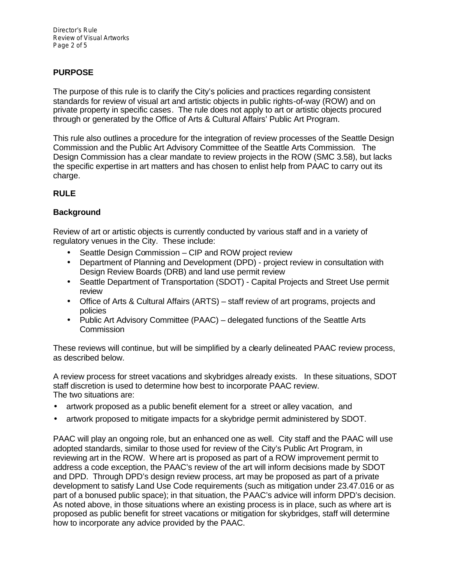Director's Rule Review of Visual Artworks Page 2 of 5

# **PURPOSE**

The purpose of this rule is to clarify the City's policies and practices regarding consistent standards for review of visual art and artistic objects in public rights-of-way (ROW) and on private property in specific cases. The rule does not apply to art or artistic objects procured through or generated by the Office of Arts & Cultural Affairs' Public Art Program.

This rule also outlines a procedure for the integration of review processes of the Seattle Design Commission and the Public Art Advisory Committee of the Seattle Arts Commission. The Design Commission has a clear mandate to review projects in the ROW (SMC 3.58), but lacks the specific expertise in art matters and has chosen to enlist help from PAAC to carry out its charge.

## **RULE**

## **Background**

Review of art or artistic objects is currently conducted by various staff and in a variety of regulatory venues in the City. These include:

- Seattle Design Commission CIP and ROW project review
- Department of Planning and Development (DPD) project review in consultation with Design Review Boards (DRB) and land use permit review
- Seattle Department of Transportation (SDOT) Capital Projects and Street Use permit review
- Office of Arts & Cultural Affairs (ARTS) staff review of art programs, projects and policies
- Public Art Advisory Committee (PAAC) delegated functions of the Seattle Arts **Commission**

These reviews will continue, but will be simplified by a clearly delineated PAAC review process, as described below.

A review process for street vacations and skybridges already exists. In these situations, SDOT staff discretion is used to determine how best to incorporate PAAC review. The two situations are:

- artwork proposed as a public benefit element for a street or alley vacation, and
- artwork proposed to mitigate impacts for a skybridge permit administered by SDOT.

PAAC will play an ongoing role, but an enhanced one as well. City staff and the PAAC will use adopted standards, similar to those used for review of the City's Public Art Program, in reviewing art in the ROW. Where art is proposed as part of a ROW improvement permit to address a code exception, the PAAC's review of the art will inform decisions made by SDOT and DPD. Through DPD's design review process, art may be proposed as part of a private development to satisfy Land Use Code requirements (such as mitigation under 23.47.016 or as part of a bonused public space); in that situation, the PAAC's advice will inform DPD's decision. As noted above, in those situations where an existing process is in place, such as where art is proposed as public benefit for street vacations or mitigation for skybridges, staff will determine how to incorporate any advice provided by the PAAC.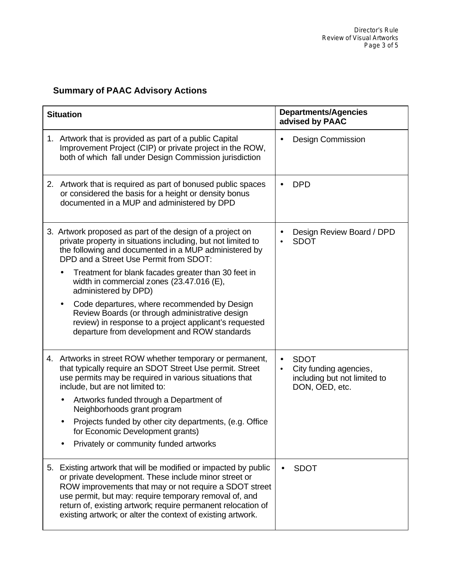# **Summary of PAAC Advisory Actions**

| <b>Situation</b> |                                                                                                                                                                                                                                                                                                                                                                             | <b>Departments/Agencies</b><br>advised by PAAC                                                                    |  |
|------------------|-----------------------------------------------------------------------------------------------------------------------------------------------------------------------------------------------------------------------------------------------------------------------------------------------------------------------------------------------------------------------------|-------------------------------------------------------------------------------------------------------------------|--|
|                  | 1. Artwork that is provided as part of a public Capital<br>Improvement Project (CIP) or private project in the ROW,<br>both of which fall under Design Commission jurisdiction                                                                                                                                                                                              | <b>Design Commission</b>                                                                                          |  |
|                  | 2. Artwork that is required as part of bonused public spaces<br>or considered the basis for a height or density bonus<br>documented in a MUP and administered by DPD                                                                                                                                                                                                        | <b>DPD</b>                                                                                                        |  |
|                  | 3. Artwork proposed as part of the design of a project on<br>private property in situations including, but not limited to<br>the following and documented in a MUP administered by<br>DPD and a Street Use Permit from SDOT:                                                                                                                                                | Design Review Board / DPD<br><b>SDOT</b>                                                                          |  |
|                  | Treatment for blank facades greater than 30 feet in<br>width in commercial zones $(23.47.016)$ (E),<br>administered by DPD)                                                                                                                                                                                                                                                 |                                                                                                                   |  |
|                  | Code departures, where recommended by Design<br>Review Boards (or through administrative design<br>review) in response to a project applicant's requested<br>departure from development and ROW standards                                                                                                                                                                   |                                                                                                                   |  |
|                  | 4. Artworks in street ROW whether temporary or permanent,<br>that typically require an SDOT Street Use permit. Street<br>use permits may be required in various situations that<br>include, but are not limited to:                                                                                                                                                         | <b>SDOT</b><br>$\bullet$<br>City funding agencies,<br>$\bullet$<br>including but not limited to<br>DON, OED, etc. |  |
|                  | Artworks funded through a Department of<br>Neighborhoods grant program                                                                                                                                                                                                                                                                                                      |                                                                                                                   |  |
|                  | Projects funded by other city departments, (e.g. Office<br>for Economic Development grants)                                                                                                                                                                                                                                                                                 |                                                                                                                   |  |
|                  | Privately or community funded artworks                                                                                                                                                                                                                                                                                                                                      |                                                                                                                   |  |
|                  | 5. Existing artwork that will be modified or impacted by public<br>or private development. These include minor street or<br>ROW improvements that may or not require a SDOT street<br>use permit, but may: require temporary removal of, and<br>return of, existing artwork; require permanent relocation of<br>existing artwork; or alter the context of existing artwork. | <b>SDOT</b>                                                                                                       |  |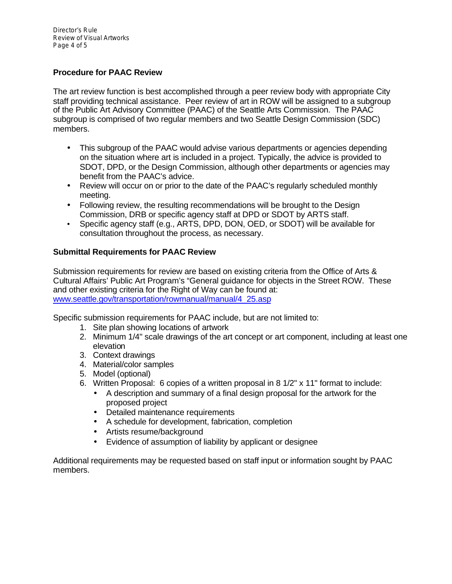Director's Rule Review of Visual Artworks Page 4 of 5

# **Procedure for PAAC Review**

The art review function is best accomplished through a peer review body with appropriate City staff providing technical assistance. Peer review of art in ROW will be assigned to a subgroup of the Public Art Advisory Committee (PAAC) of the Seattle Arts Commission. The PAAC subgroup is comprised of two regular members and two Seattle Design Commission (SDC) members.

- This subgroup of the PAAC would advise various departments or agencies depending on the situation where art is included in a project. Typically, the advice is provided to SDOT, DPD, or the Design Commission, although other departments or agencies may benefit from the PAAC's advice.
- Review will occur on or prior to the date of the PAAC's regularly scheduled monthly meeting.
- Following review, the resulting recommendations will be brought to the Design Commission, DRB or specific agency staff at DPD or SDOT by ARTS staff.
- Specific agency staff (e.g., ARTS, DPD, DON, OED, or SDOT) will be available for consultation throughout the process, as necessary.

## **Submittal Requirements for PAAC Review**

Submission requirements for review are based on existing criteria from the Office of Arts & Cultural Affairs' Public Art Program's "General guidance for objects in the Street ROW. These and other existing criteria for the Right of Way can be found at: www.seattle.gov/transportation/rowmanual/manual/4\_25.asp

Specific submission requirements for PAAC include, but are not limited to:

- 1. Site plan showing locations of artwork
- 2. Minimum 1/4" scale drawings of the art concept or art component, including at least one elevation
- 3. Context drawings
- 4. Material/color samples
- 5. Model (optional)
- 6. Written Proposal: 6 copies of a written proposal in 8 1/2" x 11" format to include:
	- A description and summary of a final design proposal for the artwork for the proposed project
	- Detailed maintenance requirements
	- A schedule for development, fabrication, completion
	- Artists resume/background
	- Evidence of assumption of liability by applicant or designee

Additional requirements may be requested based on staff input or information sought by PAAC members.